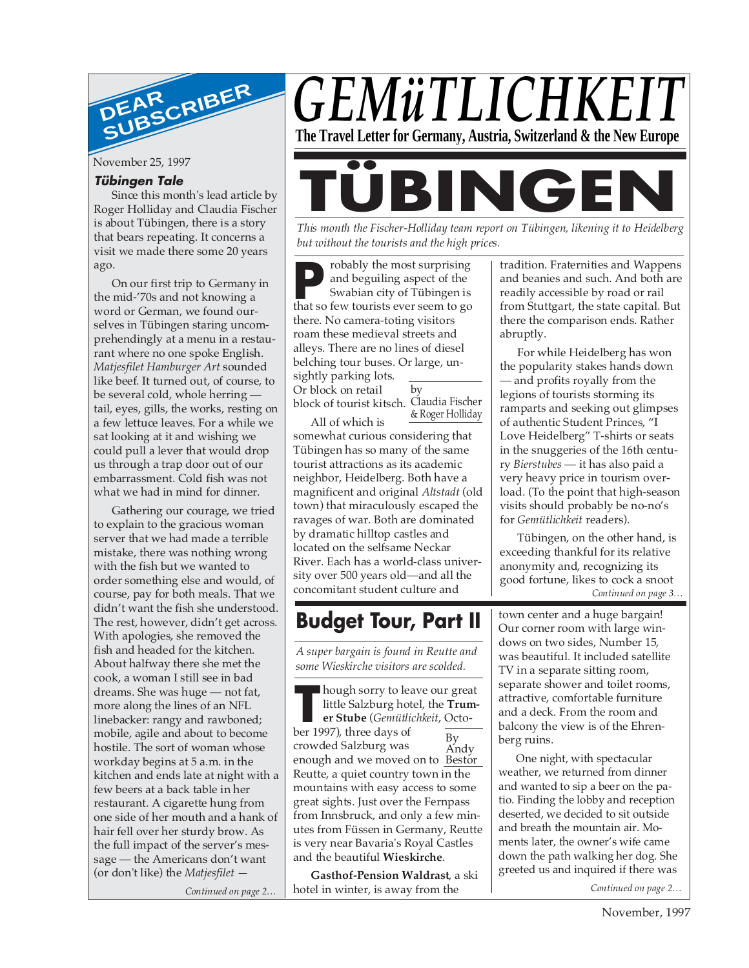

November 25, 1997

#### **Tübingen Tale**

Since this month's lead article by Roger Holliday and Claudia Fischer is about Tübingen, there is a story that bears repeating. It concerns a visit we made there some 20 years ago.

On our first trip to Germany in the mid-'70s and not knowing a word or German, we found ourselves in Tübingen staring uncomprehendingly at a menu in a restaurant where no one spoke English. *Matjesfilet Hamburger Art* sounded like beef. It turned out, of course, to be several cold, whole herring tail, eyes, gills, the works, resting on a few lettuce leaves. For a while we sat looking at it and wishing we could pull a lever that would drop us through a trap door out of our embarrassment. Cold fish was not what we had in mind for dinner.

Gathering our courage, we tried to explain to the gracious woman server that we had made a terrible mistake, there was nothing wrong with the fish but we wanted to order something else and would, of course, pay for both meals. That we didn't want the fish she understood. The rest, however, didn't get across. With apologies, she removed the fish and headed for the kitchen. About halfway there she met the cook, a woman I still see in bad dreams. She was huge — not fat, more along the lines of an NFL linebacker: rangy and rawboned; mobile, agile and about to become hostile. The sort of woman whose workday begins at 5 a.m. in the kitchen and ends late at night with a few beers at a back table in her restaurant. A cigarette hung from one side of her mouth and a hank of hair fell over her sturdy brow. As the full impact of the server's message — the Americans don't want (or don't like) the *Matjesfilet —*

*Continued on page 2…*



# **BING**

*This month the Fischer-Holliday team report on Tübingen, likening it to Heidelberg but without the tourists and the high prices.*

**P** that so few tourists ever seem to go robably the most surprising and beguiling aspect of the Swabian city of Tübingen is there. No camera-toting visitors roam these medieval streets and alleys. There are no lines of diesel belching tour buses. Or large, unsightly parking lots.

Or block on retail block of tourist kitsch. Claudia Fischer

by & Roger Holliday

All of which is somewhat curious considering that Tübingen has so many of the same tourist attractions as its academic neighbor, Heidelberg. Both have a magnificent and original *Altstadt* (old town) that miraculously escaped the ravages of war. Both are dominated by dramatic hilltop castles and located on the selfsame Neckar River. Each has a world-class university over 500 years old—and all the concomitant student culture and

### **Budget Tour, Part II**

*A super bargain is found in Reutte and some Wieskirche visitors are scolded.*

**The Transform School Separate State (Gemilities 1997), three days of** hough sorry to leave our great little Salzburg hotel, the **Trumer Stube** (*Gemütlichkeit*, Octocrowded Salzburg was enough and we moved on to <u>Bestor</u> Reutte, a quiet country town in the mountains with easy access to some great sights. Just over the Fernpass from Innsbruck, and only a few minutes from Füssen in Germany, Reutte is very near Bavaria's Royal Castles and the beautiful **Wieskirche**. By Andy

**Gasthof-Pension Waldrast**, a ski hotel in winter, is away from the

tradition. Fraternities and Wappens and beanies and such. And both are readily accessible by road or rail from Stuttgart, the state capital. But there the comparison ends. Rather abruptly.

For while Heidelberg has won the popularity stakes hands down — and profits royally from the legions of tourists storming its ramparts and seeking out glimpses of authentic Student Princes, "I Love Heidelberg" T-shirts or seats in the snuggeries of the 16th century *Bierstubes* — it has also paid a very heavy price in tourism overload. (To the point that high-season visits should probably be no-no's for *Gemütlichkeit* readers).

*Continued on page 3…* Tübingen, on the other hand, is exceeding thankful for its relative anonymity and, recognizing its good fortune, likes to cock a snoot

town center and a huge bargain! Our corner room with large windows on two sides, Number 15, was beautiful. It included satellite TV in a separate sitting room, separate shower and toilet rooms, attractive, comfortable furniture and a deck. From the room and balcony the view is of the Ehrenberg ruins.

One night, with spectacular weather, we returned from dinner and wanted to sip a beer on the patio. Finding the lobby and reception deserted, we decided to sit outside and breath the mountain air. Moments later, the owner's wife came down the path walking her dog. She greeted us and inquired if there was

*Continued on page 2…*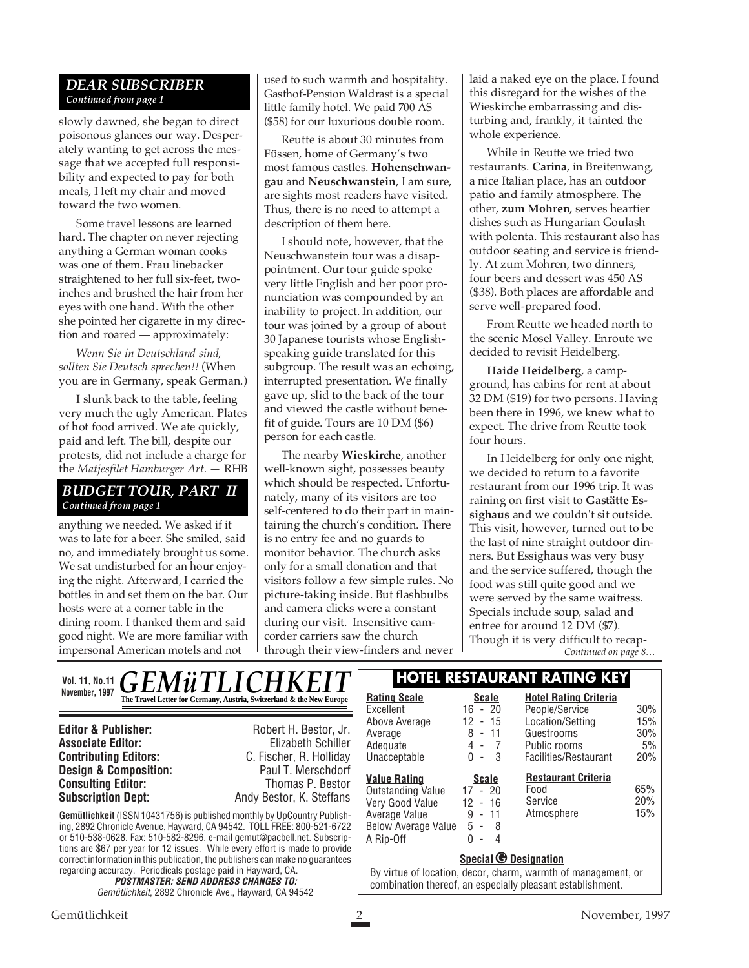#### *DEAR SUBSCRIBER Continued from page 1*

slowly dawned, she began to direct poisonous glances our way. Desperately wanting to get across the message that we accepted full responsibility and expected to pay for both meals, I left my chair and moved toward the two women.

Some travel lessons are learned hard. The chapter on never rejecting anything a German woman cooks was one of them. Frau linebacker straightened to her full six-feet, twoinches and brushed the hair from her eyes with one hand. With the other she pointed her cigarette in my direction and roared — approximately:

*Wenn Sie in Deutschland sind, sollten Sie Deutsch sprechen!!* (When you are in Germany, speak German.)

I slunk back to the table, feeling very much the ugly American. Plates of hot food arrived. We ate quickly, paid and left. The bill, despite our protests, did not include a charge for the *Matjesfilet Hamburger Art. —* RHB

#### *BUDGET TOUR, PART II Continued from page 1*

anything we needed. We asked if it was to late for a beer. She smiled, said no, and immediately brought us some. We sat undisturbed for an hour enjoying the night. Afterward, I carried the bottles in and set them on the bar. Our hosts were at a corner table in the dining room. I thanked them and said good night. We are more familiar with impersonal American motels and not

used to such warmth and hospitality. Gasthof-Pension Waldrast is a special little family hotel. We paid 700 AS (\$58) for our luxurious double room.

Reutte is about 30 minutes from Füssen, home of Germany's two most famous castles. **Hohenschwangau** and **Neuschwanstein**, I am sure, are sights most readers have visited. Thus, there is no need to attempt a description of them here.

I should note, however, that the Neuschwanstein tour was a disappointment. Our tour guide spoke very little English and her poor pronunciation was compounded by an inability to project. In addition, our tour was joined by a group of about 30 Japanese tourists whose Englishspeaking guide translated for this subgroup. The result was an echoing, interrupted presentation. We finally gave up, slid to the back of the tour and viewed the castle without benefit of guide. Tours are 10 DM (\$6) person for each castle.

The nearby **Wieskirche**, another well-known sight, possesses beauty which should be respected. Unfortunately, many of its visitors are too self-centered to do their part in maintaining the church's condition. There is no entry fee and no guards to monitor behavior. The church asks only for a small donation and that visitors follow a few simple rules. No picture-taking inside. But flashbulbs and camera clicks were a constant during our visit. Insensitive camcorder carriers saw the church through their view-finders and never

laid a naked eye on the place. I found this disregard for the wishes of the Wieskirche embarrassing and disturbing and, frankly, it tainted the whole experience.

While in Reutte we tried two restaurants. **Carina**, in Breitenwang, a nice Italian place, has an outdoor patio and family atmosphere. The other, **zum Mohren**, serves heartier dishes such as Hungarian Goulash with polenta. This restaurant also has outdoor seating and service is friendly. At zum Mohren, two dinners, four beers and dessert was 450 AS (\$38). Both places are affordable and serve well-prepared food.

From Reutte we headed north to the scenic Mosel Valley. Enroute we decided to revisit Heidelberg.

**Haide Heidelberg**, a campground, has cabins for rent at about 32 DM (\$19) for two persons. Having been there in 1996, we knew what to expect. The drive from Reutte took four hours.

*Continued on page 8…* In Heidelberg for only one night, we decided to return to a favorite restaurant from our 1996 trip. It was raining on first visit to **Gastätte Essighaus** and we couldn't sit outside. This visit, however, turned out to be the last of nine straight outdoor dinners. But Essighaus was very busy and the service suffered, though the food was still quite good and we were served by the same waitress. Specials include soup, salad and entree for around 12 DM (\$7). Though it is very difficult to recap-

**Gemütlichkeit** (ISSN 10431756) is published monthly by UpCountry Publishing, 2892 Chronicle Avenue, Hayward, CA 94542. TOLL FREE: 800-521-6722 or 510-538-0628. Fax: 510-582-8296. e-mail gemut@pacbell.net. Subscriptions are \$67 per year for 12 issues. While every effort is made to provide correct information in this publication, the publishers can make no guarantees regarding accuracy. Periodicals postage paid in Hayward, CA. **POSTMASTER: SEND ADDRESS CHANGES TO:** Gemütlichkeit, 2892 Chronicle Ave., Hayward, CA 94542 **Editor & Publisher:** Robert H. Bestor, Jr. **Associate Editor:** Elizabeth Schiller **Contributing Editors:** C. Fischer, R. Holliday **Design & Composition:** Paul T. Merschdorf **Consulting Editor:** Thomas P. Bestor **Subscription Dept:** Andy Bestor, K. Steffans Vol. 11, No.11 **GEMÜTLICHKEIT | HOTEL RESTAURANT RATING KEY**<br>November, 1997 – The Trurl Letter for German, Austria Scriberland & the New Europe **November, 1997 Rating Scale Rating Scale Scale Rating Scale Rating Scale Scale Scale Rating Scale Scale** Excellent 16 - 20<br>Above Average 12 - 15 Above Average Average  $\begin{array}{ccc} 8 & - & 11 \\ \text{Adequate} & 8 & - & 7 \end{array}$ Adequate 4 - 7<br>Unacceptable 0 - 3 Unacceptable **Hotel Rating Criteria** People/Service 30% Location/Setting 15%<br>Guestrooms 30% Guestrooms Public rooms 5% Facilities/Restaurant 20% **Special © Designation** By virtue of location, decor, charm, warmth of management, or combination thereof, an especially pleasant establishment. **Value Rating Scale** Outstanding Value 17 - 20 Very Good Value 12 - 16 Average Value Below Average Value A Rip-Off 0 - 4<br>A Rip-Off 0 - 4 **Restaurant Criteria** Food 65% Service 20% Atmosphere 15%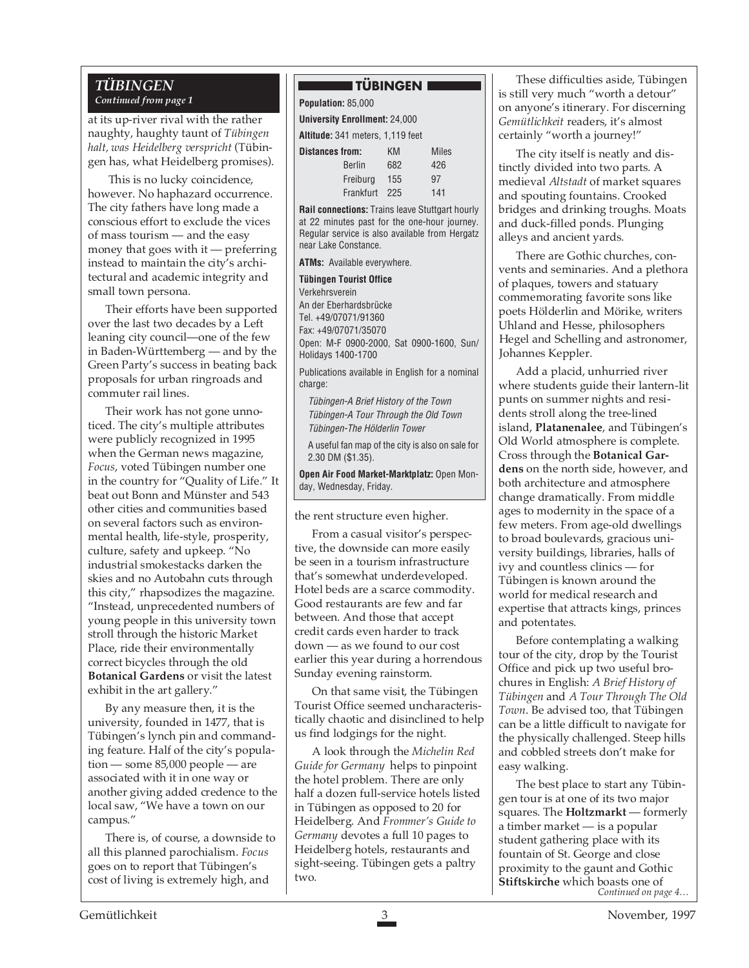#### *TÜBINGEN Continued from page 1*

at its up-river rival with the rather naughty, haughty taunt of *Tübingen halt, was Heidelberg verspricht* (Tübingen has, what Heidelberg promises).

 This is no lucky coincidence, however. No haphazard occurrence. The city fathers have long made a conscious effort to exclude the vices of mass tourism — and the easy money that goes with it — preferring instead to maintain the city's architectural and academic integrity and small town persona.

Their efforts have been supported over the last two decades by a Left leaning city council—one of the few in Baden-Württemberg — and by the Green Party's success in beating back proposals for urban ringroads and commuter rail lines.

Their work has not gone unnoticed. The city's multiple attributes were publicly recognized in 1995 when the German news magazine, *Focus*, voted Tübingen number one in the country for "Quality of Life." It beat out Bonn and Münster and 543 other cities and communities based on several factors such as environmental health, life-style, prosperity, culture, safety and upkeep. "No industrial smokestacks darken the skies and no Autobahn cuts through this city," rhapsodizes the magazine. "Instead, unprecedented numbers of young people in this university town stroll through the historic Market Place, ride their environmentally correct bicycles through the old **Botanical Gardens** or visit the latest exhibit in the art gallery."

By any measure then, it is the university, founded in 1477, that is Tübingen's lynch pin and commanding feature. Half of the city's population — some 85,000 people — are associated with it in one way or another giving added credence to the local saw, "We have a town on our campus."

There is, of course, a downside to all this planned parochialism. *Focus* goes on to report that Tübingen's cost of living is extremely high, and

#### **TÜBINGEN EE**

| Population: 85,000                      |               |     |              |  |  |  |  |  |
|-----------------------------------------|---------------|-----|--------------|--|--|--|--|--|
| <b>University Enrollment: 24,000</b>    |               |     |              |  |  |  |  |  |
| <b>Altitude:</b> 341 meters, 1,119 feet |               |     |              |  |  |  |  |  |
| <b>Distances from:</b>                  |               | KМ  | <b>Miles</b> |  |  |  |  |  |
|                                         | <b>Berlin</b> | 682 | 426          |  |  |  |  |  |
|                                         | Freiburg      | 155 | 97           |  |  |  |  |  |
|                                         | Frankfurt     | 225 | 141          |  |  |  |  |  |

**Rail connections:** Trains leave Stuttgart hourly at 22 minutes past for the one-hour journey. Regular service is also available from Hergatz near Lake Constance.

**ATMs:** Available everywhere.

**Tübingen Tourist Office** Verkehrsverein An der Eberhardsbrücke

Tel. +49/07071/91360 Fax: +49/07071/35070 Open: M-F 0900-2000, Sat 0900-1600, Sun/ Holidays 1400-1700

Publications available in English for a nominal charge:

Tübingen-A Brief History of the Town Tübingen-A Tour Through the Old Town Tübingen-The Hölderlin Tower

A useful fan map of the city is also on sale for 2.30 DM (\$1.35).

**Open Air Food Market-Marktplatz:** Open Monday, Wednesday, Friday.

the rent structure even higher.

From a casual visitor's perspective, the downside can more easily be seen in a tourism infrastructure that's somewhat underdeveloped. Hotel beds are a scarce commodity. Good restaurants are few and far between. And those that accept credit cards even harder to track down — as we found to our cost earlier this year during a horrendous Sunday evening rainstorm.

On that same visit, the Tübingen Tourist Office seemed uncharacteristically chaotic and disinclined to help us find lodgings for the night.

A look through the *Michelin Red Guide for Germany* helps to pinpoint the hotel problem. There are only half a dozen full-service hotels listed in Tübingen as opposed to 20 for Heidelberg. And *Frommer's Guide to Germany* devotes a full 10 pages to Heidelberg hotels, restaurants and sight-seeing. Tübingen gets a paltry two.

These difficulties aside, Tübingen is still very much "worth a detour" on anyone's itinerary. For discerning *Gemütlichkeit* readers, it's almost certainly "worth a journey!"

The city itself is neatly and distinctly divided into two parts. A medieval *Altstadt* of market squares and spouting fountains. Crooked bridges and drinking troughs. Moats and duck-filled ponds. Plunging alleys and ancient yards.

There are Gothic churches, convents and seminaries. And a plethora of plaques, towers and statuary commemorating favorite sons like poets Hölderlin and Mörike, writers Uhland and Hesse, philosophers Hegel and Schelling and astronomer, Johannes Keppler.

Add a placid, unhurried river where students guide their lantern-lit punts on summer nights and residents stroll along the tree-lined island, **Platanenalee**, and Tübingen's Old World atmosphere is complete. Cross through the **Botanical Gardens** on the north side, however, and both architecture and atmosphere change dramatically. From middle ages to modernity in the space of a few meters. From age-old dwellings to broad boulevards, gracious university buildings, libraries, halls of ivy and countless clinics — for Tübingen is known around the world for medical research and expertise that attracts kings, princes and potentates.

Before contemplating a walking tour of the city, drop by the Tourist Office and pick up two useful brochures in English: *A Brief History of Tübingen* and *A Tour Through The Old Town*. Be advised too, that Tübingen can be a little difficult to navigate for the physically challenged. Steep hills and cobbled streets don't make for easy walking.

*Continued on page 4…* The best place to start any Tübingen tour is at one of its two major squares. The **Holtzmarkt** — formerly a timber market — is a popular student gathering place with its fountain of St. George and close proximity to the gaunt and Gothic **Stiftskirche** which boasts one of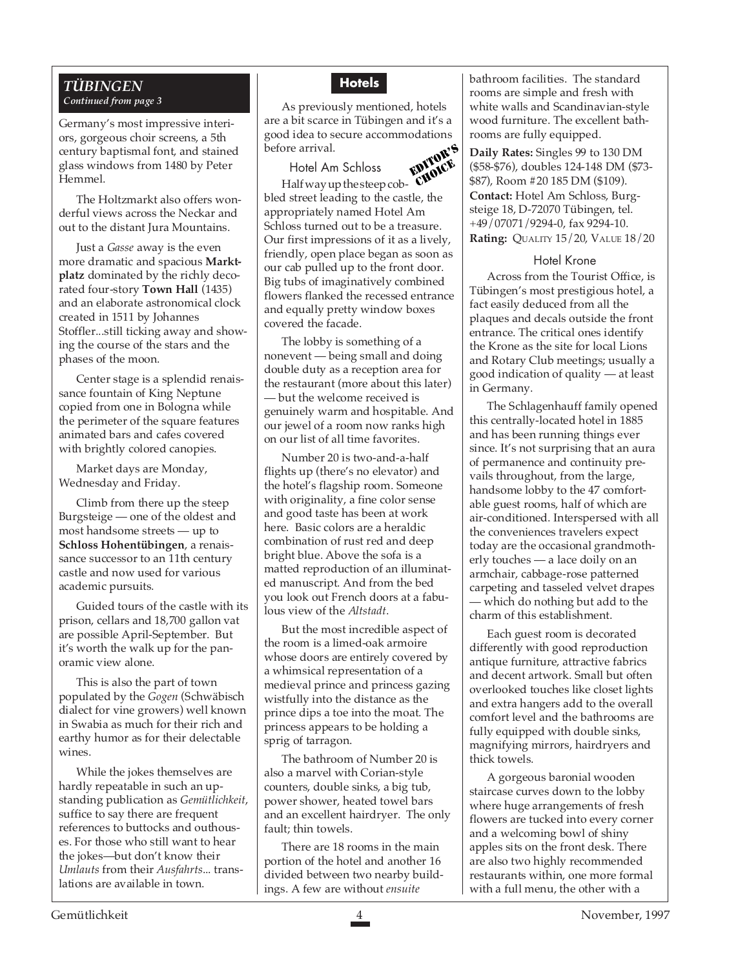#### *TÜBINGEN Continued from page 3*

Germany's most impressive interiors, gorgeous choir screens, a 5th century baptismal font, and stained glass windows from 1480 by Peter Hemmel.

The Holtzmarkt also offers wonderful views across the Neckar and out to the distant Jura Mountains.

Just a *Gasse* away is the even more dramatic and spacious **Marktplatz** dominated by the richly decorated four-story **Town Hall** (1435) and an elaborate astronomical clock created in 1511 by Johannes Stoffler...still ticking away and showing the course of the stars and the phases of the moon.

Center stage is a splendid renaissance fountain of King Neptune copied from one in Bologna while the perimeter of the square features animated bars and cafes covered with brightly colored canopies.

Market days are Monday, Wednesday and Friday.

Climb from there up the steep Burgsteige — one of the oldest and most handsome streets — up to **Schloss Hohentübingen**, a renaissance successor to an 11th century castle and now used for various academic pursuits.

Guided tours of the castle with its prison, cellars and 18,700 gallon vat are possible April-September. But it's worth the walk up for the panoramic view alone.

This is also the part of town populated by the *Gogen* (Schwäbisch dialect for vine growers) well known in Swabia as much for their rich and earthy humor as for their delectable wines.

While the jokes themselves are hardly repeatable in such an upstanding publication as *Gemütlichkeit*, suffice to say there are frequent references to buttocks and outhouses. For those who still want to hear the jokes—but don't know their *Umlauts* from their *Ausfahrts*... translations are available in town.

#### **Hotels**

EDITOR'S As previously mentioned, hotels are a bit scarce in Tübingen and it's a good idea to secure accommodations before arrival.

CHOICE Hotel Am Schloss Half way up the steep cobbled street leading to the castle, the appropriately named Hotel Am Schloss turned out to be a treasure. Our first impressions of it as a lively, friendly, open place began as soon as our cab pulled up to the front door. Big tubs of imaginatively combined flowers flanked the recessed entrance and equally pretty window boxes covered the facade.

The lobby is something of a nonevent — being small and doing double duty as a reception area for the restaurant (more about this later) — but the welcome received is genuinely warm and hospitable. And our jewel of a room now ranks high on our list of all time favorites.

Number 20 is two-and-a-half flights up (there's no elevator) and the hotel's flagship room. Someone with originality, a fine color sense and good taste has been at work here. Basic colors are a heraldic combination of rust red and deep bright blue. Above the sofa is a matted reproduction of an illuminated manuscript. And from the bed you look out French doors at a fabulous view of the *Altstadt*.

But the most incredible aspect of the room is a limed-oak armoire whose doors are entirely covered by a whimsical representation of a medieval prince and princess gazing wistfully into the distance as the prince dips a toe into the moat. The princess appears to be holding a sprig of tarragon.

The bathroom of Number 20 is also a marvel with Corian-style counters, double sinks, a big tub, power shower, heated towel bars and an excellent hairdryer. The only fault; thin towels.

There are 18 rooms in the main portion of the hotel and another 16 divided between two nearby buildings. A few are without *ensuite*

bathroom facilities. The standard rooms are simple and fresh with white walls and Scandinavian-style wood furniture. The excellent bathrooms are fully equipped.

**Daily Rates:** Singles 99 to 130 DM (\$58-\$76), doubles 124-148 DM (\$73- \$87), Room #20 185 DM (\$109). **Contact:** Hotel Am Schloss, Burgsteige 18, D-72070 Tübingen, tel. +49/07071/9294-0, fax 9294-10. **Rating:** QUALITY 15/20, VALUE 18/20

#### Hotel Krone

Across from the Tourist Office, is Tübingen's most prestigious hotel, a fact easily deduced from all the plaques and decals outside the front entrance. The critical ones identify the Krone as the site for local Lions and Rotary Club meetings; usually a good indication of quality — at least in Germany.

The Schlagenhauff family opened this centrally-located hotel in 1885 and has been running things ever since. It's not surprising that an aura of permanence and continuity prevails throughout, from the large, handsome lobby to the 47 comfortable guest rooms, half of which are air-conditioned. Interspersed with all the conveniences travelers expect today are the occasional grandmotherly touches — a lace doily on an armchair, cabbage-rose patterned carpeting and tasseled velvet drapes — which do nothing but add to the charm of this establishment.

Each guest room is decorated differently with good reproduction antique furniture, attractive fabrics and decent artwork. Small but often overlooked touches like closet lights and extra hangers add to the overall comfort level and the bathrooms are fully equipped with double sinks, magnifying mirrors, hairdryers and thick towels.

A gorgeous baronial wooden staircase curves down to the lobby where huge arrangements of fresh flowers are tucked into every corner and a welcoming bowl of shiny apples sits on the front desk. There are also two highly recommended restaurants within, one more formal with a full menu, the other with a

Gemütlichkeit 4 November, 1997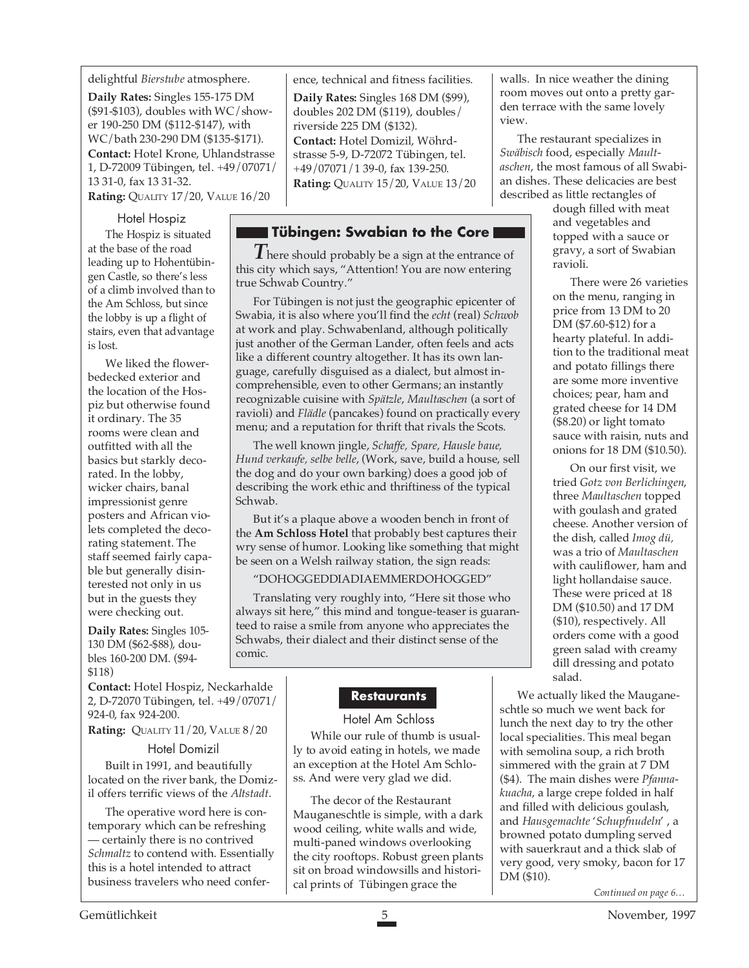#### delightful *Bierstube* atmosphere.

**Daily Rates:** Singles 155-175 DM ( $$91-$103$ ), doubles with WC/shower 190-250 DM (\$112-\$147), with WC/bath 230-290 DM (\$135-\$171). **Contact:** Hotel Krone, Uhlandstrasse 1, D-72009 Tübingen, tel. +49/07071/ 13 31-0, fax 13 31-32.

**Rating:** QUALITY 17/20, VALUE 16/20

#### Hotel Hospiz

The Hospiz is situated at the base of the road leading up to Hohentübingen Castle, so there's less of a climb involved than to the Am Schloss, but since the lobby is up a flight of stairs, even that advantage is lost.

We liked the flowerbedecked exterior and the location of the Hospiz but otherwise found it ordinary. The 35 rooms were clean and outfitted with all the basics but starkly decorated. In the lobby, wicker chairs, banal impressionist genre posters and African violets completed the decorating statement. The staff seemed fairly capable but generally disinterested not only in us but in the guests they were checking out.

**Daily Rates:** Singles 105- 130 DM (\$62-\$88), doubles 160-200 DM. (\$94- \$118)

**Contact:** Hotel Hospiz, Neckarhalde 2, D-72070 Tübingen, tel. +49/07071/ 924-0, fax 924-200.

**Rating:** QUALITY 11/20, VALUE 8/20

#### Hotel Domizil

Built in 1991, and beautifully located on the river bank, the Domizil offers terrific views of the *Altstadt*.

The operative word here is contemporary which can be refreshing — certainly there is no contrived *Schmaltz* to contend with. Essentially this is a hotel intended to attract business travelers who need conference, technical and fitness facilities.

**Daily Rates:** Singles 168 DM (\$99), doubles 202 DM (\$119), doubles/ riverside 225 DM (\$132). **Contact:** Hotel Domizil, Wöhrdstrasse 5-9, D-72072 Tübingen, tel. +49/07071/1 39-0, fax 139-250. **Rating:** QUALITY 15/20, VALUE 13/20

#### **Tübingen: Swabian to the Core**

*T* here should probably be a sign at the entrance of this city which says, "Attention! You are now entering true Schwab Country."

For Tübingen is not just the geographic epicenter of Swabia, it is also where you'll find the *echt* (real) *Schwob* at work and play. Schwabenland, although politically just another of the German Lander, often feels and acts like a different country altogether. It has its own language, carefully disguised as a dialect, but almost incomprehensible, even to other Germans; an instantly recognizable cuisine with *Spätzle*, *Maultaschen* (a sort of ravioli) and *Flädle* (pancakes) found on practically every menu; and a reputation for thrift that rivals the Scots.

The well known jingle, *Schaffe, Spare, Hausle baue, Hund verkaufe, selbe belle*, (Work, save, build a house, sell the dog and do your own barking) does a good job of describing the work ethic and thriftiness of the typical Schwab.

But it's a plaque above a wooden bench in front of the **Am Schloss Hotel** that probably best captures their wry sense of humor. Looking like something that might be seen on a Welsh railway station, the sign reads:

#### "DOHOGGEDDIADIAEMMERDOHOGGED"

Translating very roughly into, "Here sit those who always sit here," this mind and tongue-teaser is guaranteed to raise a smile from anyone who appreciates the Schwabs, their dialect and their distinct sense of the comic.

#### **Restaurants**

#### Hotel Am Schloss

While our rule of thumb is usually to avoid eating in hotels, we made an exception at the Hotel Am Schloss. And were very glad we did.

The decor of the Restaurant Mauganeschtle is simple, with a dark wood ceiling, white walls and wide, multi-paned windows overlooking the city rooftops. Robust green plants sit on broad windowsills and historical prints of Tübingen grace the *Continued on page 6..* 

walls. In nice weather the dining room moves out onto a pretty garden terrace with the same lovely view.

The restaurant specializes in *Swäbisch* food, especially *Maultaschen*, the most famous of all Swabian dishes. These delicacies are best described as little rectangles of

dough filled with meat and vegetables and topped with a sauce or gravy, a sort of Swabian ravioli.

There were 26 varieties on the menu, ranging in price from 13 DM to 20 DM (\$7.60-\$12) for a hearty plateful. In addition to the traditional meat and potato fillings there are some more inventive choices; pear, ham and grated cheese for 14 DM (\$8.20) or light tomato sauce with raisin, nuts and onions for 18 DM (\$10.50).

On our first visit, we tried *Gotz von Berlichingen*, three *Maultaschen* topped with goulash and grated cheese. Another version of the dish, called *Imog dü,* was a trio of *Maultaschen* with cauliflower, ham and light hollandaise sauce. These were priced at 18 DM (\$10.50) and 17 DM (\$10), respectively. All orders come with a good green salad with creamy dill dressing and potato salad.

We actually liked the Mauganeschtle so much we went back for lunch the next day to try the other local specialities. This meal began with semolina soup, a rich broth simmered with the grain at 7 DM (\$4). The main dishes were *Pfannakuacha*, a large crepe folded in half and filled with delicious goulash, and *Hausgemachte* '*Schupfnudeln*' , a browned potato dumpling served with sauerkraut and a thick slab of very good, very smoky, bacon for 17 DM (\$10).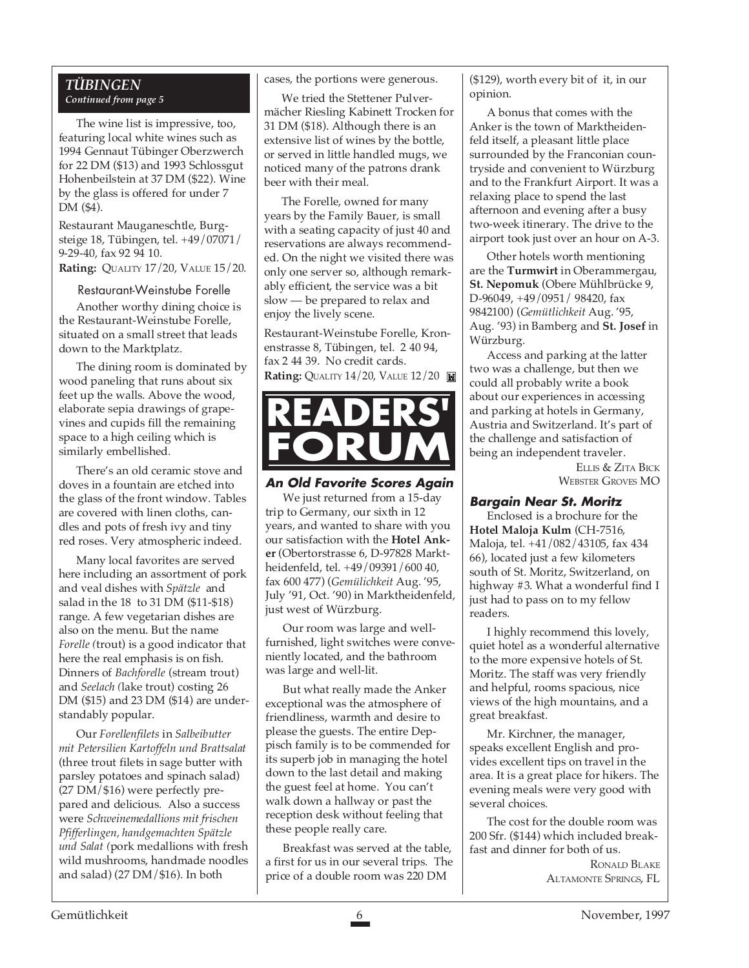#### *TÜBINGEN Continued from page 5*

The wine list is impressive, too, featuring local white wines such as 1994 Gennaut Tübinger Oberzwerch for 22 DM (\$13) and 1993 Schlossgut Hohenbeilstein at 37 DM (\$22). Wine by the glass is offered for under 7 DM (\$4).

Restaurant Mauganeschtle, Burgsteige 18, Tübingen, tel. +49/07071/ 9-29-40, fax 92 94 10.

**Rating:** QUALITY 17/20, VALUE 15/20.

#### Restaurant-Weinstube Forelle

Another worthy dining choice is the Restaurant-Weinstube Forelle, situated on a small street that leads down to the Marktplatz.

The dining room is dominated by wood paneling that runs about six feet up the walls. Above the wood, elaborate sepia drawings of grapevines and cupids fill the remaining space to a high ceiling which is similarly embellished.

There's an old ceramic stove and doves in a fountain are etched into the glass of the front window. Tables are covered with linen cloths, candles and pots of fresh ivy and tiny red roses. Very atmospheric indeed.

Many local favorites are served here including an assortment of pork and veal dishes with *Spätzle* and salad in the 18 to 31 DM (\$11-\$18) range. A few vegetarian dishes are also on the menu. But the name *Forelle (*trout) is a good indicator that here the real emphasis is on fish. Dinners of *Bachforelle* (stream trout) and *Seelach (*lake trout) costing 26 DM (\$15) and 23 DM (\$14) are understandably popular.

Our *Forellenfilets* in *Salbeibutter mit Petersilien Kartoffeln und Brattsalat* (three trout filets in sage butter with parsley potatoes and spinach salad) (27 DM/\$16) were perfectly prepared and delicious. Also a success were *Schweinemedallions mit frischen Pfifferlingen, handgemachten Spätzle und Salat (*pork medallions with fresh wild mushrooms, handmade noodles and salad) (27 DM/\$16). In both

cases, the portions were generous.

We tried the Stettener Pulvermächer Riesling Kabinett Trocken for 31 DM (\$18). Although there is an extensive list of wines by the bottle, or served in little handled mugs, we noticed many of the patrons drank beer with their meal.

The Forelle, owned for many years by the Family Bauer, is small with a seating capacity of just 40 and reservations are always recommended. On the night we visited there was only one server so, although remarkably efficient, the service was a bit slow — be prepared to relax and enjoy the lively scene.

Restaurant-Weinstube Forelle, Kronenstrasse 8, Tübingen, tel. 2 40 94, fax 2 44 39. No credit cards. **Rating:** QUALITY 14/20, VALUE 12/20



#### **An Old Favorite Scores Again** We just returned from a 15-day trip to Germany, our sixth in 12 years, and wanted to share with you our satisfaction with the **Hotel Anker** (Obertorstrasse 6, D-97828 Marktheidenfeld, tel. +49/09391/600 40, fax 600 477) (*Gemülichkeit* Aug. '95, July '91, Oct. '90) in Marktheidenfeld, just west of Würzburg.

Our room was large and wellfurnished, light switches were conveniently located, and the bathroom was large and well-lit.

But what really made the Anker exceptional was the atmosphere of friendliness, warmth and desire to please the guests. The entire Deppisch family is to be commended for its superb job in managing the hotel down to the last detail and making the guest feel at home. You can't walk down a hallway or past the reception desk without feeling that these people really care.

Breakfast was served at the table, a first for us in our several trips. The price of a double room was 220 DM

(\$129), worth every bit of it, in our opinion.

A bonus that comes with the Anker is the town of Marktheidenfeld itself, a pleasant little place surrounded by the Franconian countryside and convenient to Würzburg and to the Frankfurt Airport. It was a relaxing place to spend the last afternoon and evening after a busy two-week itinerary. The drive to the airport took just over an hour on A-3.

Other hotels worth mentioning are the **Turmwirt** in Oberammergau, **St. Nepomuk** (Obere Mühlbrücke 9, D-96049, +49/0951/ 98420, fax 9842100) (*Gemütlichkeit* Aug. '95, Aug. '93) in Bamberg and **St. Josef** in Würzburg.

Access and parking at the latter two was a challenge, but then we could all probably write a book about our experiences in accessing and parking at hotels in Germany, Austria and Switzerland. It's part of the challenge and satisfaction of being an independent traveler.

> ELLIS & ZITA BICK WEBSTER GROVES MO

#### **Bargain Near St. Moritz**

Enclosed is a brochure for the **Hotel Maloja Kulm** (CH-7516, Maloja, tel. +41/082/43105, fax 434 66), located just a few kilometers south of St. Moritz, Switzerland, on highway #3. What a wonderful find I just had to pass on to my fellow readers.

I highly recommend this lovely, quiet hotel as a wonderful alternative to the more expensive hotels of St. Moritz. The staff was very friendly and helpful, rooms spacious, nice views of the high mountains, and a great breakfast.

Mr. Kirchner, the manager, speaks excellent English and provides excellent tips on travel in the area. It is a great place for hikers. The evening meals were very good with several choices.

The cost for the double room was 200 Sfr. (\$144) which included breakfast and dinner for both of us.

> RONALD BLAKE ALTAMONTE SPRINGS, FL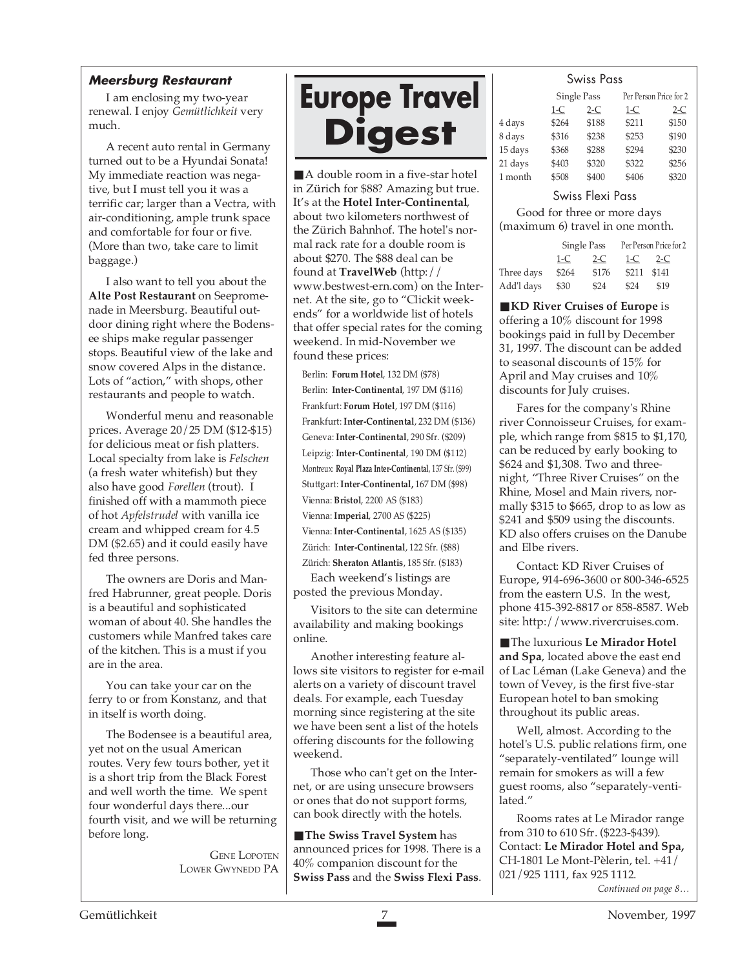#### **Meersburg Restaurant**

I am enclosing my two-year renewal. I enjoy *Gemütlichkeit* very much.

A recent auto rental in Germany turned out to be a Hyundai Sonata! My immediate reaction was negative, but I must tell you it was a terrific car; larger than a Vectra, with air-conditioning, ample trunk space and comfortable for four or five. (More than two, take care to limit baggage.)

I also want to tell you about the **Alte Post Restaurant** on Seepromenade in Meersburg. Beautiful outdoor dining right where the Bodensee ships make regular passenger stops. Beautiful view of the lake and snow covered Alps in the distance. Lots of "action," with shops, other restaurants and people to watch.

Wonderful menu and reasonable prices. Average 20/25 DM (\$12-\$15) for delicious meat or fish platters. Local specialty from lake is *Felschen* (a fresh water whitefish) but they also have good *Forellen* (trout). I finished off with a mammoth piece of hot *Apfelstrudel* with vanilla ice cream and whipped cream for 4.5 DM (\$2.65) and it could easily have fed three persons.

The owners are Doris and Manfred Habrunner, great people. Doris is a beautiful and sophisticated woman of about 40. She handles the customers while Manfred takes care of the kitchen. This is a must if you are in the area.

You can take your car on the ferry to or from Konstanz, and that in itself is worth doing.

The Bodensee is a beautiful area, yet not on the usual American routes. Very few tours bother, yet it is a short trip from the Black Forest and well worth the time. We spent four wonderful days there...our fourth visit, and we will be returning before long.

> GENE LOPOTEN LOWER GWYNEDD PA

## **Europe Travel Digest**

■ A double room in a five-star hotel in Zürich for \$88? Amazing but true. It's at the **Hotel Inter-Continental**, about two kilometers northwest of the Zürich Bahnhof. The hotel's normal rack rate for a double room is about \$270. The \$88 deal can be found at **TravelWeb** (http:// www.bestwest-ern.com) on the Internet. At the site, go to "Clickit weekends" for a worldwide list of hotels that offer special rates for the coming weekend. In mid-November we found these prices:

Berlin: **Forum Hotel**, 132 DM (\$78) Berlin: **Inter-Continental**, 197 DM (\$116) Frankfurt: **Forum Hotel**, 197 DM (\$116) Frankfurt: **Inter-Continental**, 232 DM (\$136) Geneva: **Inter-Continental**, 290 Sfr. (\$209) Leipzig: **Inter-Continental**, 190 DM (\$112) Montreux: **Royal Plaza Inter-Continental**, 137 Sfr. (\$99) Stuttgart: **Inter-Continental,** 167 DM (\$98) Vienna: **Bristol**, 2200 AS (\$183) Vienna: **Imperial**, 2700 AS (\$225) Vienna: **Inter-Continental**, 1625 AS (\$135) Zürich: **Inter-Continental**, 122 Sfr. (\$88) Zürich: **Sheraton Atlantis**, 185 Sfr. (\$183)

Each weekend's listings are posted the previous Monday.

Visitors to the site can determine availability and making bookings online.

Another interesting feature allows site visitors to register for e-mail alerts on a variety of discount travel deals. For example, each Tuesday morning since registering at the site we have been sent a list of the hotels offering discounts for the following weekend.

Those who can't get on the Internet, or are using unsecure browsers or ones that do not support forms, can book directly with the hotels.

■ **The Swiss Travel System** has announced prices for 1998. There is a 40% companion discount for the **Swiss Pass** and the **Swiss Flexi Pass**.

#### Swiss Pass

|         |       | Single Pass |       | Per Person Price for 2 |  |
|---------|-------|-------------|-------|------------------------|--|
|         | $1-C$ | $2-C$       | $1-C$ | $2-C$                  |  |
| 4 days  | \$264 | \$188       | \$211 | \$150                  |  |
| 8 days  | \$316 | \$238       | \$253 | \$190                  |  |
| 15 days | \$368 | \$288       | \$294 | \$230                  |  |
| 21 days | \$403 | \$320       | \$322 | \$256                  |  |
| 1 month | \$508 | \$400       | \$406 | \$320                  |  |

#### Swiss Flexi Pass

Good for three or more days (maximum 6) travel in one month.

|            | Single Pass |       | Per Person Price for 2 |       |  |
|------------|-------------|-------|------------------------|-------|--|
|            | 1-C         | $2-C$ | 1-C                    | $2-C$ |  |
| Three days | \$264       | \$176 | \$211                  | \$141 |  |
| Add'l days | \$30        | \$24  | \$24                   | \$19  |  |
|            |             |       |                        |       |  |

■ **KD River Cruises of Europe** is offering a 10% discount for 1998 bookings paid in full by December 31, 1997. The discount can be added to seasonal discounts of 15% for April and May cruises and 10% discounts for July cruises.

Fares for the company's Rhine river Connoisseur Cruises, for example, which range from \$815 to \$1,170, can be reduced by early booking to \$624 and \$1,308. Two and threenight, "Three River Cruises" on the Rhine, Mosel and Main rivers, normally \$315 to \$665, drop to as low as \$241 and \$509 using the discounts. KD also offers cruises on the Danube and Elbe rivers.

Contact: KD River Cruises of Europe, 914-696-3600 or 800-346-6525 from the eastern U.S. In the west, phone 415-392-8817 or 858-8587. Web site: http://www.rivercruises.com.

■ The luxurious **Le Mirador Hotel and Spa**, located above the east end of Lac Léman (Lake Geneva) and the town of Vevey, is the first five-star European hotel to ban smoking throughout its public areas.

Well, almost. According to the hotel's U.S. public relations firm, one "separately-ventilated" lounge will remain for smokers as will a few guest rooms, also "separately-ventilated."

*Continued on page 8…* Rooms rates at Le Mirador range from 310 to 610 Sfr. (\$223-\$439). Contact: **Le Mirador Hotel and Spa,** CH-1801 Le Mont-Pèlerin, tel. +41/ 021/925 1111, fax 925 1112.